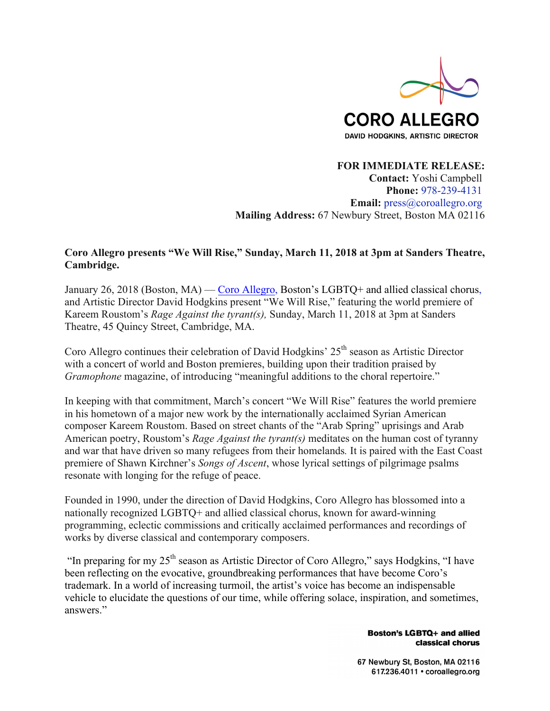

**FOR IMMEDIATE RELEASE: Contact:** Yoshi Campbell **Phone:** 978-239-4131 **Email:** press@coroallegro.org **Mailing Address:** 67 Newbury Street, Boston MA 02116

# **Coro Allegro presents "We Will Rise," Sunday, March 11, 2018 at 3pm at Sanders Theatre, Cambridge.**

January 26, 2018 (Boston, MA) — Coro Allegro, Boston's LGBTQ+ and allied classical chorus, and Artistic Director David Hodgkins present "We Will Rise," featuring the world premiere of Kareem Roustom's *Rage Against the tyrant(s),* Sunday, March 11, 2018 at 3pm at Sanders Theatre, 45 Quincy Street, Cambridge, MA.

Coro Allegro continues their celebration of David Hodgkins'  $25<sup>th</sup>$  season as Artistic Director with a concert of world and Boston premieres, building upon their tradition praised by *Gramophone* magazine, of introducing "meaningful additions to the choral repertoire."

In keeping with that commitment, March's concert "We Will Rise" features the world premiere in his hometown of a major new work by the internationally acclaimed Syrian American composer Kareem Roustom. Based on street chants of the "Arab Spring" uprisings and Arab American poetry, Roustom's *Rage Against the tyrant(s)* meditates on the human cost of tyranny and war that have driven so many refugees from their homelands*.* It is paired with the East Coast premiere of Shawn Kirchner's *Songs of Ascent*, whose lyrical settings of pilgrimage psalms resonate with longing for the refuge of peace.

Founded in 1990, under the direction of David Hodgkins, Coro Allegro has blossomed into a nationally recognized LGBTQ+ and allied classical chorus, known for award-winning programming, eclectic commissions and critically acclaimed performances and recordings of works by diverse classical and contemporary composers.

"In preparing for my  $25<sup>th</sup>$  season as Artistic Director of Coro Allegro," says Hodgkins, "I have been reflecting on the evocative, groundbreaking performances that have become Coro's trademark. In a world of increasing turmoil, the artist's voice has become an indispensable vehicle to elucidate the questions of our time, while offering solace, inspiration, and sometimes, answers."

> **Boston's LGBTQ+ and allied** classical chorus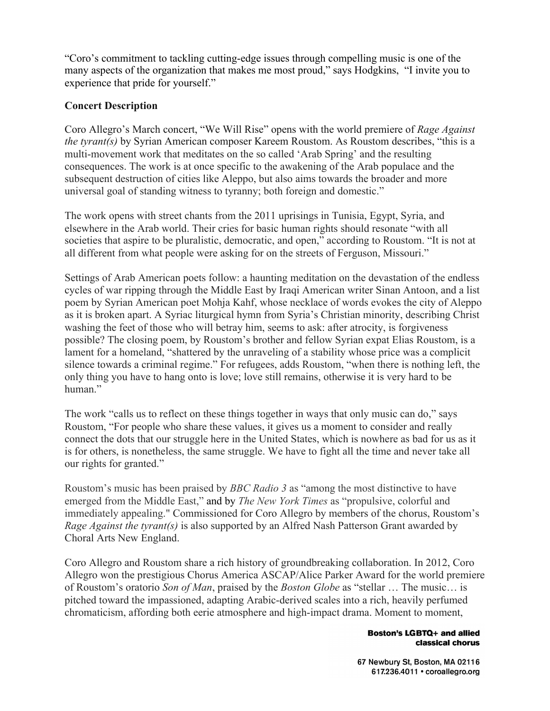"Coro's commitment to tackling cutting-edge issues through compelling music is one of the many aspects of the organization that makes me most proud," says Hodgkins, "I invite you to experience that pride for yourself."

# **Concert Description**

Coro Allegro's March concert, "We Will Rise" opens with the world premiere of *Rage Against the tyrant(s)* by Syrian American composer Kareem Roustom. As Roustom describes, "this is a multi-movement work that meditates on the so called 'Arab Spring' and the resulting consequences. The work is at once specific to the awakening of the Arab populace and the subsequent destruction of cities like Aleppo, but also aims towards the broader and more universal goal of standing witness to tyranny; both foreign and domestic."

The work opens with street chants from the 2011 uprisings in Tunisia, Egypt, Syria, and elsewhere in the Arab world. Their cries for basic human rights should resonate "with all societies that aspire to be pluralistic, democratic, and open," according to Roustom. "It is not at all different from what people were asking for on the streets of Ferguson, Missouri."

Settings of Arab American poets follow: a haunting meditation on the devastation of the endless cycles of war ripping through the Middle East by Iraqi American writer Sinan Antoon, and a list poem by Syrian American poet Mohja Kahf, whose necklace of words evokes the city of Aleppo as it is broken apart. A Syriac liturgical hymn from Syria's Christian minority, describing Christ washing the feet of those who will betray him, seems to ask: after atrocity, is forgiveness possible? The closing poem, by Roustom's brother and fellow Syrian expat Elias Roustom, is a lament for a homeland, "shattered by the unraveling of a stability whose price was a complicit silence towards a criminal regime." For refugees, adds Roustom, "when there is nothing left, the only thing you have to hang onto is love; love still remains, otherwise it is very hard to be human."

The work "calls us to reflect on these things together in ways that only music can do," says Roustom, "For people who share these values, it gives us a moment to consider and really connect the dots that our struggle here in the United States, which is nowhere as bad for us as it is for others, is nonetheless, the same struggle. We have to fight all the time and never take all our rights for granted."

Roustom's music has been praised by *BBC Radio 3* as "among the most distinctive to have emerged from the Middle East," and by *The New York Times* as "propulsive, colorful and immediately appealing." Commissioned for Coro Allegro by members of the chorus, Roustom's *Rage Against the tyrant(s)* is also supported by an Alfred Nash Patterson Grant awarded by Choral Arts New England.

Coro Allegro and Roustom share a rich history of groundbreaking collaboration. In 2012, Coro Allegro won the prestigious Chorus America ASCAP/Alice Parker Award for the world premiere of Roustom's oratorio *Son of Man*, praised by the *Boston Globe* as "stellar … The music… is pitched toward the impassioned, adapting Arabic-derived scales into a rich, heavily perfumed chromaticism, affording both eerie atmosphere and high-impact drama. Moment to moment,

#### **Boston's LGBTQ+ and allied** classical chorus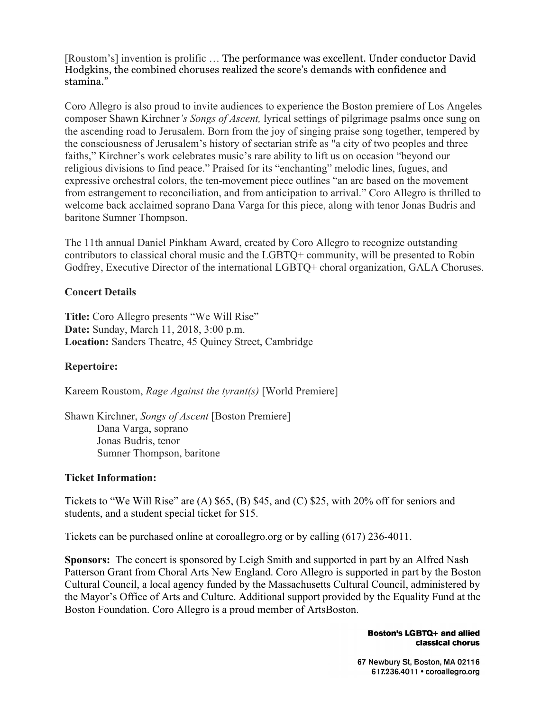[Roustom's] invention is prolific … The performance was excellent. Under conductor David Hodgkins, the combined choruses realized the score's demands with confidence and stamina."

Coro Allegro is also proud to invite audiences to experience the Boston premiere of Los Angeles composer Shawn Kirchner*'s Songs of Ascent,* lyrical settings of pilgrimage psalms once sung on the ascending road to Jerusalem. Born from the joy of singing praise song together, tempered by the consciousness of Jerusalem's history of sectarian strife as "a city of two peoples and three faiths," Kirchner's work celebrates music's rare ability to lift us on occasion "beyond our religious divisions to find peace." Praised for its "enchanting" melodic lines, fugues, and expressive orchestral colors, the ten-movement piece outlines "an arc based on the movement from estrangement to reconciliation, and from anticipation to arrival." Coro Allegro is thrilled to welcome back acclaimed soprano Dana Varga for this piece, along with tenor Jonas Budris and baritone Sumner Thompson.

The 11th annual Daniel Pinkham Award, created by Coro Allegro to recognize outstanding contributors to classical choral music and the LGBTQ+ community, will be presented to Robin Godfrey, Executive Director of the international LGBTQ+ choral organization, GALA Choruses.

### **Concert Details**

**Title:** Coro Allegro presents "We Will Rise" **Date:** Sunday, March 11, 2018, 3:00 p.m. **Location:** Sanders Theatre, 45 Quincy Street, Cambridge

#### **Repertoire:**

Kareem Roustom, *Rage Against the tyrant(s)* [World Premiere]

Shawn Kirchner, *Songs of Ascent* [Boston Premiere] Dana Varga, soprano Jonas Budris, tenor Sumner Thompson, baritone

#### **Ticket Information:**

Tickets to "We Will Rise" are (A) \$65, (B) \$45, and (C) \$25, with 20% off for seniors and students, and a student special ticket for \$15.

Tickets can be purchased online at coroallegro.org or by calling (617) 236-4011.

**Sponsors:** The concert is sponsored by Leigh Smith and supported in part by an Alfred Nash Patterson Grant from Choral Arts New England. Coro Allegro is supported in part by the Boston Cultural Council, a local agency funded by the Massachusetts Cultural Council, administered by the Mayor's Office of Arts and Culture. Additional support provided by the Equality Fund at the Boston Foundation. Coro Allegro is a proud member of ArtsBoston.

> **Boston's LGBTQ+ and allied** classical chorus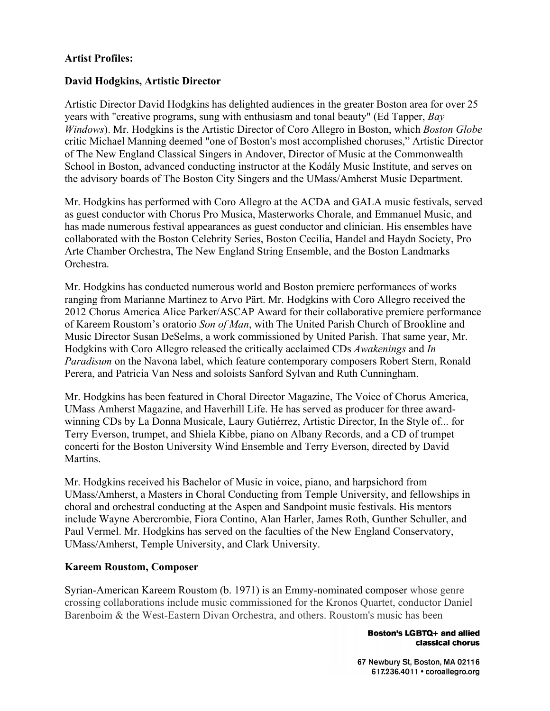# **Artist Profiles:**

# **David Hodgkins, Artistic Director**

Artistic Director David Hodgkins has delighted audiences in the greater Boston area for over 25 years with "creative programs, sung with enthusiasm and tonal beauty" (Ed Tapper, *Bay Windows*). Mr. Hodgkins is the Artistic Director of Coro Allegro in Boston, which *Boston Globe*  critic Michael Manning deemed "one of Boston's most accomplished choruses," Artistic Director of The New England Classical Singers in Andover, Director of Music at the Commonwealth School in Boston, advanced conducting instructor at the Kodály Music Institute, and serves on the advisory boards of The Boston City Singers and the UMass/Amherst Music Department.

Mr. Hodgkins has performed with Coro Allegro at the ACDA and GALA music festivals, served as guest conductor with Chorus Pro Musica, Masterworks Chorale, and Emmanuel Music, and has made numerous festival appearances as guest conductor and clinician. His ensembles have collaborated with the Boston Celebrity Series, Boston Cecilia, Handel and Haydn Society, Pro Arte Chamber Orchestra, The New England String Ensemble, and the Boston Landmarks Orchestra.

Mr. Hodgkins has conducted numerous world and Boston premiere performances of works ranging from Marianne Martinez to Arvo Pärt. Mr. Hodgkins with Coro Allegro received the 2012 Chorus America Alice Parker/ASCAP Award for their collaborative premiere performance of Kareem Roustom's oratorio *Son of Man*, with The United Parish Church of Brookline and Music Director Susan DeSelms, a work commissioned by United Parish. That same year, Mr. Hodgkins with Coro Allegro released the critically acclaimed CDs *Awakenings* and *In Paradisum* on the Navona label, which feature contemporary composers Robert Stern, Ronald Perera, and Patricia Van Ness and soloists Sanford Sylvan and Ruth Cunningham.

Mr. Hodgkins has been featured in Choral Director Magazine, The Voice of Chorus America, UMass Amherst Magazine, and Haverhill Life. He has served as producer for three awardwinning CDs by La Donna Musicale, Laury Gutiérrez, Artistic Director, In the Style of... for Terry Everson, trumpet, and Shiela Kibbe, piano on Albany Records, and a CD of trumpet concerti for the Boston University Wind Ensemble and Terry Everson, directed by David Martins.

Mr. Hodgkins received his Bachelor of Music in voice, piano, and harpsichord from UMass/Amherst, a Masters in Choral Conducting from Temple University, and fellowships in choral and orchestral conducting at the Aspen and Sandpoint music festivals. His mentors include Wayne Abercrombie, Fiora Contino, Alan Harler, James Roth, Gunther Schuller, and Paul Vermel. Mr. Hodgkins has served on the faculties of the New England Conservatory, UMass/Amherst, Temple University, and Clark University.

### **Kareem Roustom, Composer**

Syrian-American Kareem Roustom (b. 1971) is an Emmy-nominated composer whose genre crossing collaborations include music commissioned for the Kronos Quartet, conductor Daniel Barenboim & the West-Eastern Divan Orchestra, and others. Roustom's music has been

> **Boston's LGBTQ+ and allied** classical chorus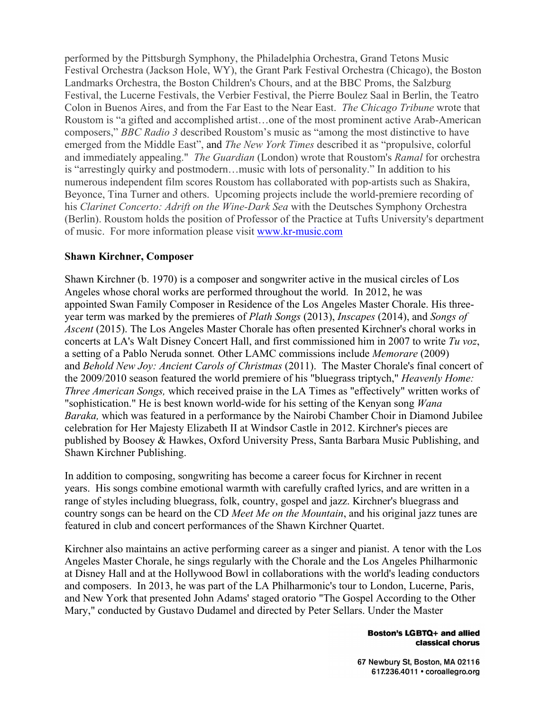performed by the Pittsburgh Symphony, the Philadelphia Orchestra, Grand Tetons Music Festival Orchestra (Jackson Hole, WY), the Grant Park Festival Orchestra (Chicago), the Boston Landmarks Orchestra, the Boston Children's Chours, and at the BBC Proms, the Salzburg Festival, the Lucerne Festivals, the Verbier Festival, the Pierre Boulez Saal in Berlin, the Teatro Colon in Buenos Aires, and from the Far East to the Near East. *The Chicago Tribune* wrote that Roustom is "a gifted and accomplished artist…one of the most prominent active Arab-American composers," *BBC Radio 3* described Roustom's music as "among the most distinctive to have emerged from the Middle East", and *The New York Times* described it as "propulsive, colorful and immediately appealing." *The Guardian* (London) wrote that Roustom's *Ramal* for orchestra is "arrestingly quirky and postmodern…music with lots of personality." In addition to his numerous independent film scores Roustom has collaborated with pop-artists such as Shakira, Beyonce, Tina Turner and others. Upcoming projects include the world-premiere recording of his *Clarinet Concerto: Adrift on the Wine-Dark Sea* with the Deutsches Symphony Orchestra (Berlin). Roustom holds the position of Professor of the Practice at Tufts University's department of music. For more information please visit www.kr-music.com

# **Shawn Kirchner, Composer**

Shawn Kirchner (b. 1970) is a composer and songwriter active in the musical circles of Los Angeles whose choral works are performed throughout the world. In 2012, he was appointed Swan Family Composer in Residence of the Los Angeles Master Chorale. His threeyear term was marked by the premieres of *Plath Songs* (2013), *Inscapes* (2014), and *Songs of Ascent* (2015). The Los Angeles Master Chorale has often presented Kirchner's choral works in concerts at LA's Walt Disney Concert Hall, and first commissioned him in 2007 to write *Tu voz*, a setting of a Pablo Neruda sonnet*.* Other LAMC commissions include *Memorare* (2009) and *Behold New Joy: Ancient Carols of Christmas* (2011). The Master Chorale's final concert of the 2009/2010 season featured the world premiere of his "bluegrass triptych," *Heavenly Home: Three American Songs,* which received praise in the LA Times as "effectively" written works of "sophistication." He is best known world-wide for his setting of the Kenyan song *Wana Baraka,* which was featured in a performance by the Nairobi Chamber Choir in Diamond Jubilee celebration for Her Majesty Elizabeth II at Windsor Castle in 2012. Kirchner's pieces are published by Boosey & Hawkes, Oxford University Press, Santa Barbara Music Publishing, and Shawn Kirchner Publishing.

In addition to composing, songwriting has become a career focus for Kirchner in recent years. His songs combine emotional warmth with carefully crafted lyrics, and are written in a range of styles including bluegrass, folk, country, gospel and jazz. Kirchner's bluegrass and country songs can be heard on the CD *Meet Me on the Mountain*, and his original jazz tunes are featured in club and concert performances of the Shawn Kirchner Quartet.

Kirchner also maintains an active performing career as a singer and pianist. A tenor with the Los Angeles Master Chorale, he sings regularly with the Chorale and the Los Angeles Philharmonic at Disney Hall and at the Hollywood Bowl in collaborations with the world's leading conductors and composers. In 2013, he was part of the LA Philharmonic's tour to London, Lucerne, Paris, and New York that presented John Adams' staged oratorio "The Gospel According to the Other Mary," conducted by Gustavo Dudamel and directed by Peter Sellars. Under the Master

#### **Boston's LGBTQ+ and allied** classical chorus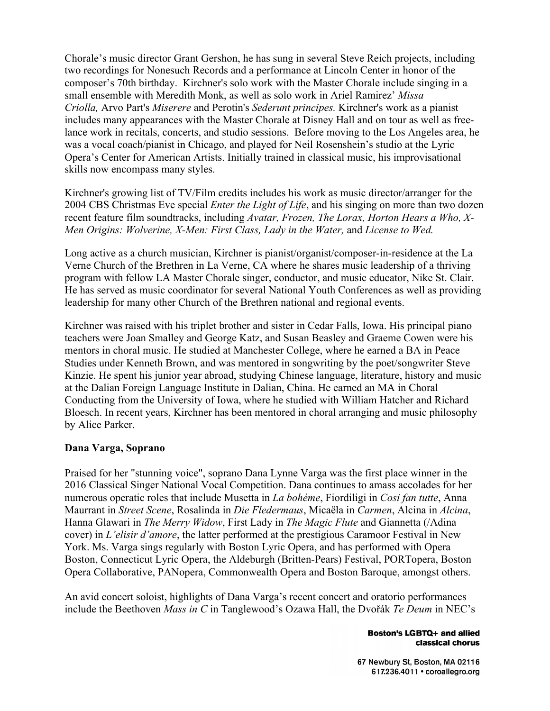Chorale's music director Grant Gershon, he has sung in several Steve Reich projects, including two recordings for Nonesuch Records and a performance at Lincoln Center in honor of the composer's 70th birthday. Kirchner's solo work with the Master Chorale include singing in a small ensemble with Meredith Monk, as well as solo work in Ariel Ramirez' *Missa Criolla,* Arvo Part's *Miserere* and Perotin's *Sederunt principes.* Kirchner's work as a pianist includes many appearances with the Master Chorale at Disney Hall and on tour as well as freelance work in recitals, concerts, and studio sessions. Before moving to the Los Angeles area, he was a vocal coach/pianist in Chicago, and played for Neil Rosenshein's studio at the Lyric Opera's Center for American Artists. Initially trained in classical music, his improvisational skills now encompass many styles.

Kirchner's growing list of TV/Film credits includes his work as music director/arranger for the 2004 CBS Christmas Eve special *Enter the Light of Life*, and his singing on more than two dozen recent feature film soundtracks, including *Avatar, Frozen, The Lorax, Horton Hears a Who, X-Men Origins: Wolverine, X-Men: First Class, Lady in the Water,* and *License to Wed.*

Long active as a church musician, Kirchner is pianist/organist/composer-in-residence at the La Verne Church of the Brethren in La Verne, CA where he shares music leadership of a thriving program with fellow LA Master Chorale singer, conductor, and music educator, Nike St. Clair. He has served as music coordinator for several National Youth Conferences as well as providing leadership for many other Church of the Brethren national and regional events.

Kirchner was raised with his triplet brother and sister in Cedar Falls, Iowa. His principal piano teachers were Joan Smalley and George Katz, and Susan Beasley and Graeme Cowen were his mentors in choral music. He studied at Manchester College, where he earned a BA in Peace Studies under Kenneth Brown, and was mentored in songwriting by the poet/songwriter Steve Kinzie. He spent his junior year abroad, studying Chinese language, literature, history and music at the Dalian Foreign Language Institute in Dalian, China. He earned an MA in Choral Conducting from the University of Iowa, where he studied with William Hatcher and Richard Bloesch. In recent years, Kirchner has been mentored in choral arranging and music philosophy by Alice Parker.

### **Dana Varga, Soprano**

Praised for her "stunning voice", soprano Dana Lynne Varga was the first place winner in the 2016 Classical Singer National Vocal Competition. Dana continues to amass accolades for her numerous operatic roles that include Musetta in *La bohéme*, Fiordiligi in *Cosi fan tutte*, Anna Maurrant in *Street Scene*, Rosalinda in *Die Fledermaus*, Micaëla in *Carmen*, Alcina in *Alcina*, Hanna Glawari in *The Merry Widow*, First Lady in *The Magic Flute* and Giannetta (/Adina cover) in *L'elisir d'amore*, the latter performed at the prestigious Caramoor Festival in New York. Ms. Varga sings regularly with Boston Lyric Opera, and has performed with Opera Boston, Connecticut Lyric Opera, the Aldeburgh (Britten-Pears) Festival, PORTopera, Boston Opera Collaborative, PANopera, Commonwealth Opera and Boston Baroque, amongst others.

An avid concert soloist, highlights of Dana Varga's recent concert and oratorio performances include the Beethoven *Mass in C* in Tanglewood's Ozawa Hall, the Dvořák *Te Deum* in NEC's

> **Boston's LGBTQ+ and allied** classical chorus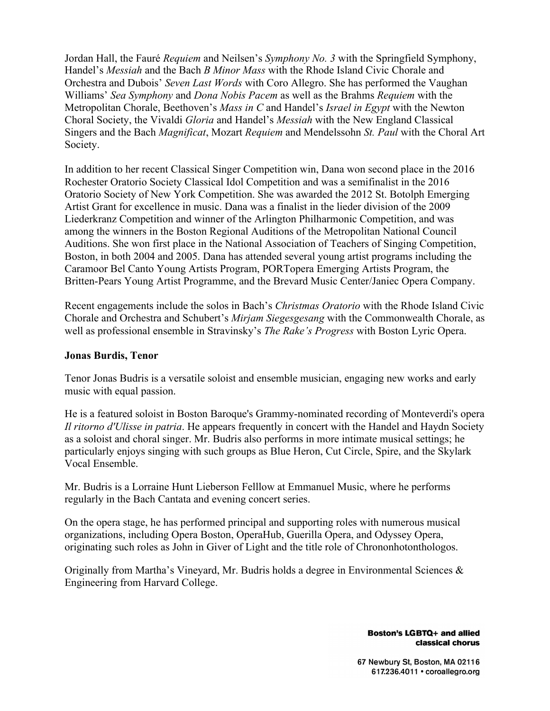Jordan Hall, the Fauré *Requiem* and Neilsen's *Symphony No. 3* with the Springfield Symphony, Handel's *Messiah* and the Bach *B Minor Mass* with the Rhode Island Civic Chorale and Orchestra and Dubois' *Seven Last Words* with Coro Allegro. She has performed the Vaughan Williams' *Sea Symphony* and *Dona Nobis Pacem* as well as the Brahms *Requiem* with the Metropolitan Chorale, Beethoven's *Mass in C* and Handel's *Israel in Egypt* with the Newton Choral Society, the Vivaldi *Gloria* and Handel's *Messiah* with the New England Classical Singers and the Bach *Magnificat*, Mozart *Requiem* and Mendelssohn *St. Paul* with the Choral Art Society.

In addition to her recent Classical Singer Competition win, Dana won second place in the 2016 Rochester Oratorio Society Classical Idol Competition and was a semifinalist in the 2016 Oratorio Society of New York Competition. She was awarded the 2012 St. Botolph Emerging Artist Grant for excellence in music. Dana was a finalist in the lieder division of the 2009 Liederkranz Competition and winner of the Arlington Philharmonic Competition, and was among the winners in the Boston Regional Auditions of the Metropolitan National Council Auditions. She won first place in the National Association of Teachers of Singing Competition, Boston, in both 2004 and 2005. Dana has attended several young artist programs including the Caramoor Bel Canto Young Artists Program, PORTopera Emerging Artists Program, the Britten-Pears Young Artist Programme, and the Brevard Music Center/Janiec Opera Company.

Recent engagements include the solos in Bach's *Christmas Oratorio* with the Rhode Island Civic Chorale and Orchestra and Schubert's *Mirjam Siegesgesang* with the Commonwealth Chorale, as well as professional ensemble in Stravinsky's *The Rake's Progress* with Boston Lyric Opera.

# **Jonas Burdis, Tenor**

Tenor Jonas Budris is a versatile soloist and ensemble musician, engaging new works and early music with equal passion.

He is a featured soloist in Boston Baroque's Grammy-nominated recording of Monteverdi's opera *Il ritorno d'Ulisse in patria*. He appears frequently in concert with the Handel and Haydn Society as a soloist and choral singer. Mr. Budris also performs in more intimate musical settings; he particularly enjoys singing with such groups as Blue Heron, Cut Circle, Spire, and the Skylark Vocal Ensemble.

Mr. Budris is a Lorraine Hunt Lieberson Felllow at Emmanuel Music, where he performs regularly in the Bach Cantata and evening concert series.

On the opera stage, he has performed principal and supporting roles with numerous musical organizations, including Opera Boston, OperaHub, Guerilla Opera, and Odyssey Opera, originating such roles as John in Giver of Light and the title role of Chrononhotonthologos.

Originally from Martha's Vineyard, Mr. Budris holds a degree in Environmental Sciences & Engineering from Harvard College.

> **Boston's LGBTQ+ and allied** classical chorus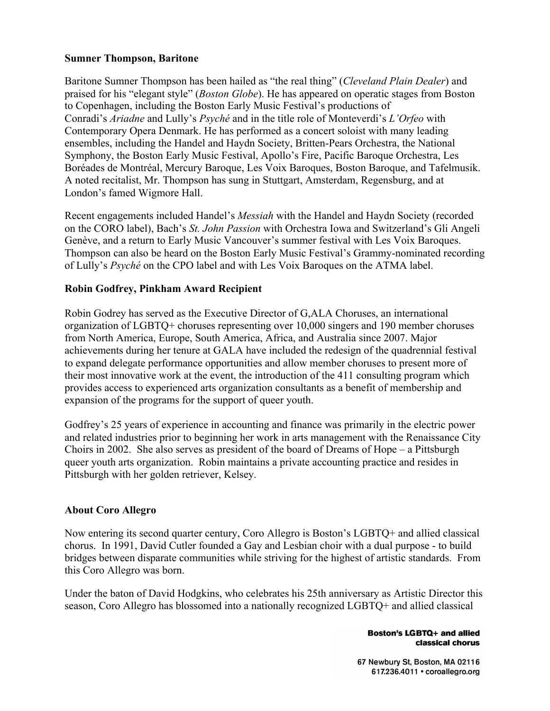# **Sumner Thompson, Baritone**

Baritone Sumner Thompson has been hailed as "the real thing" (*Cleveland Plain Dealer*) and praised for his "elegant style" (*Boston Globe*). He has appeared on operatic stages from Boston to Copenhagen, including the Boston Early Music Festival's productions of Conradi's *Ariadne* and Lully's *Psyché* and in the title role of Monteverdi's *L'Orfeo* with Contemporary Opera Denmark. He has performed as a concert soloist with many leading ensembles, including the Handel and Haydn Society, Britten-Pears Orchestra, the National Symphony, the Boston Early Music Festival, Apollo's Fire, Pacific Baroque Orchestra, Les Boréades de Montréal, Mercury Baroque, Les Voix Baroques, Boston Baroque, and Tafelmusik. A noted recitalist, Mr. Thompson has sung in Stuttgart, Amsterdam, Regensburg, and at London's famed Wigmore Hall.

Recent engagements included Handel's *Messiah* with the Handel and Haydn Society (recorded on the CORO label), Bach's *St. John Passion* with Orchestra Iowa and Switzerland's Gli Angeli Genève, and a return to Early Music Vancouver's summer festival with Les Voix Baroques. Thompson can also be heard on the Boston Early Music Festival's Grammy-nominated recording of Lully's *Psyché* on the CPO label and with Les Voix Baroques on the ATMA label.

# **Robin Godfrey, Pinkham Award Recipient**

Robin Godrey has served as the Executive Director of G,ALA Choruses, an international organization of LGBTQ+ choruses representing over 10,000 singers and 190 member choruses from North America, Europe, South America, Africa, and Australia since 2007. Major achievements during her tenure at GALA have included the redesign of the quadrennial festival to expand delegate performance opportunities and allow member choruses to present more of their most innovative work at the event, the introduction of the 411 consulting program which provides access to experienced arts organization consultants as a benefit of membership and expansion of the programs for the support of queer youth.

Godfrey's 25 years of experience in accounting and finance was primarily in the electric power and related industries prior to beginning her work in arts management with the Renaissance City Choirs in 2002. She also serves as president of the board of Dreams of Hope – a Pittsburgh queer youth arts organization. Robin maintains a private accounting practice and resides in Pittsburgh with her golden retriever, Kelsey.

### **About Coro Allegro**

Now entering its second quarter century, Coro Allegro is Boston's LGBTQ+ and allied classical chorus. In 1991, David Cutler founded a Gay and Lesbian choir with a dual purpose - to build bridges between disparate communities while striving for the highest of artistic standards. From this Coro Allegro was born.

Under the baton of David Hodgkins, who celebrates his 25th anniversary as Artistic Director this season, Coro Allegro has blossomed into a nationally recognized LGBTQ+ and allied classical

> **Boston's LGBTQ+ and allied** classical chorus